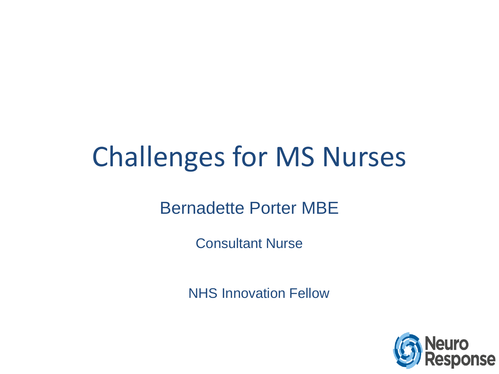# Challenges for MS Nurses

### Bernadette Porter MBE

Consultant Nurse

NHS Innovation Fellow

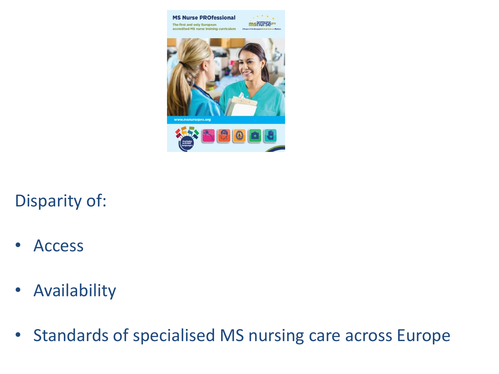

### Disparity of:

- Access
- Availability
- Standards of specialised MS nursing care across Europe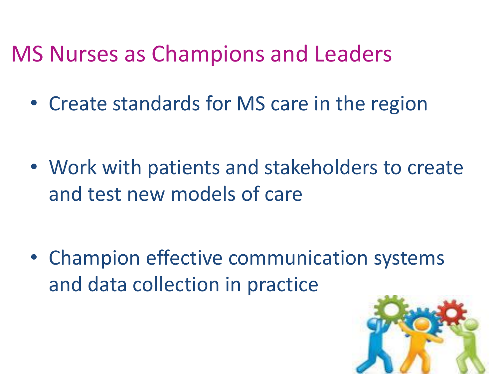# MS Nurses as Champions and Leaders

• Create standards for MS care in the region

• Work with patients and stakeholders to create and test new models of care

• Champion effective communication systems and data collection in practice

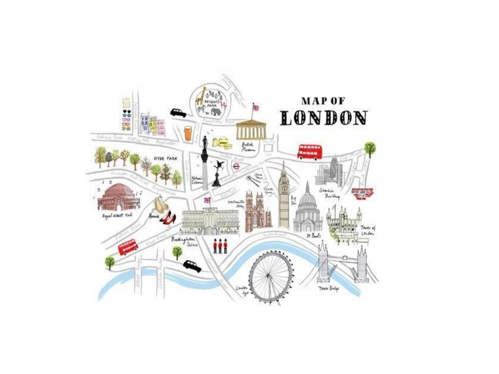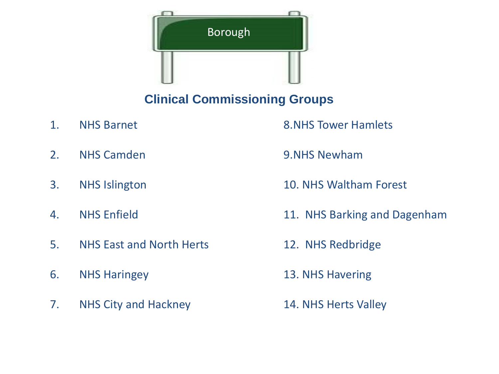

**Clinical Commissioning Groups**

1. NHS Barnet

8.NHS Tower Hamlets

- 2. NHS Camden
- 3. NHS Islington
- 4. NHS Enfield
- 5. NHS East and North Herts
- 6. NHS Haringey
- 7. NHS City and Hackney
- 9.NHS Newham
- 10. NHS Waltham Forest
- 11. NHS Barking and Dagenham
- 12. NHS Redbridge
- 13. NHS Havering
- 14. NHS Herts Valley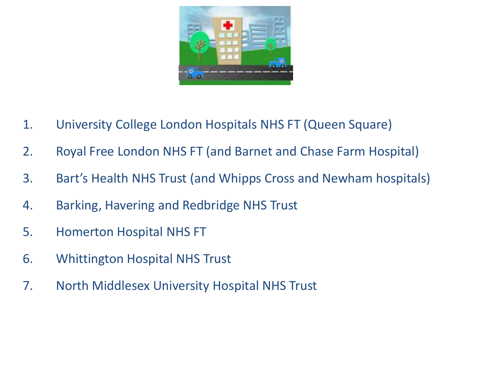

- 1. University College London Hospitals NHS FT (Queen Square)
- 2. Royal Free London NHS FT (and Barnet and Chase Farm Hospital)
- 3. Bart's Health NHS Trust (and Whipps Cross and Newham hospitals)
- 4. Barking, Havering and Redbridge NHS Trust
- 5. Homerton Hospital NHS FT
- 6. Whittington Hospital NHS Trust
- 7. North Middlesex University Hospital NHS Trust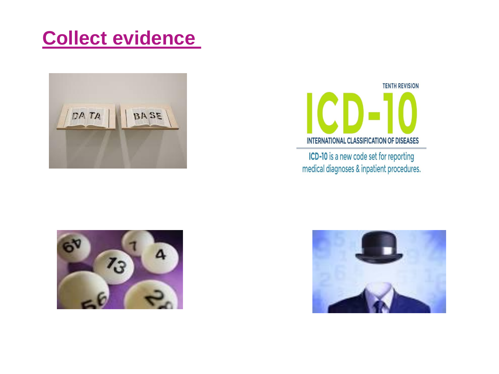### **Collect evidence**





ICD-10 is a new code set for reporting medical diagnoses & inpatient procedures.



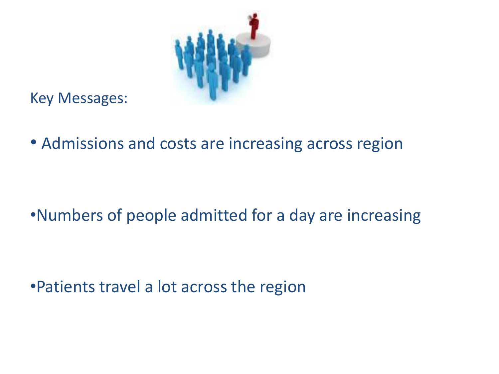

Key Messages:

• Admissions and costs are increasing across region

•Numbers of people admitted for a day are increasing

•Patients travel a lot across the region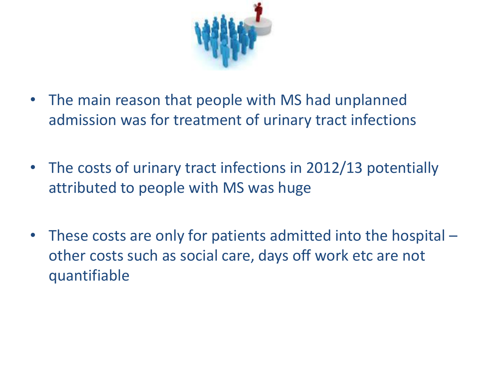

- The main reason that people with MS had unplanned admission was for treatment of urinary tract infections
- The costs of urinary tract infections in 2012/13 potentially attributed to people with MS was huge
- These costs are only for patients admitted into the hospital other costs such as social care, days off work etc are not quantifiable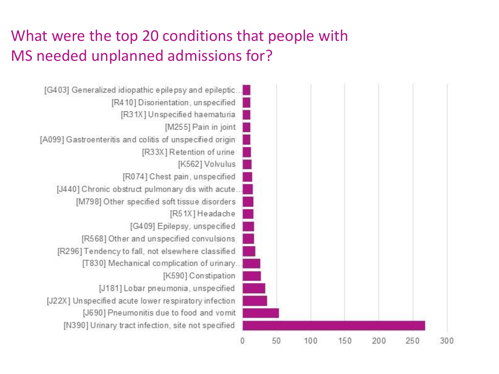### What were the top 20 conditions that people with MS needed unplanned admissions for?

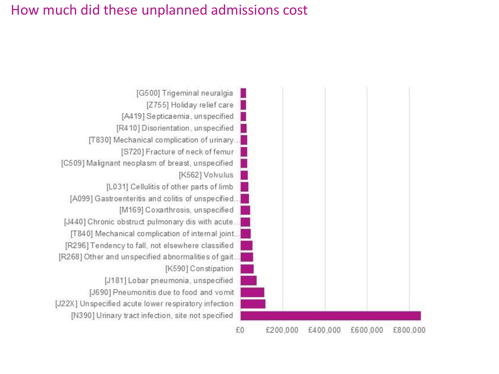### How much did these unplanned admissions cost

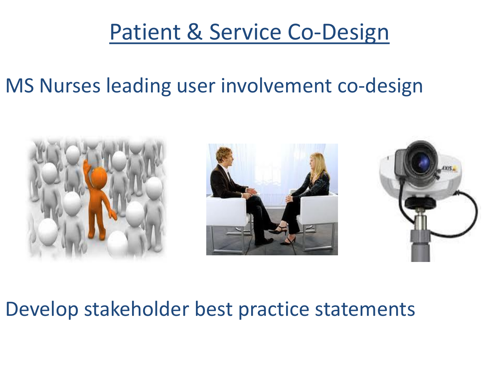# Patient & Service Co-Design

# MS Nurses leading user involvement co-design



## Develop stakeholder best practice statements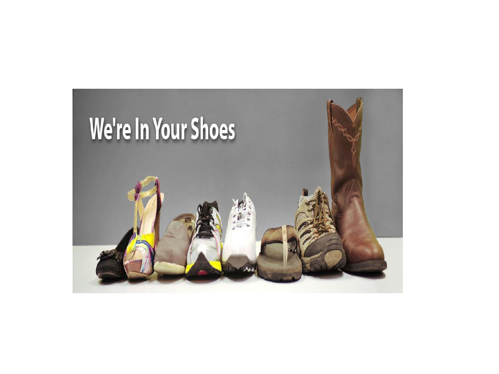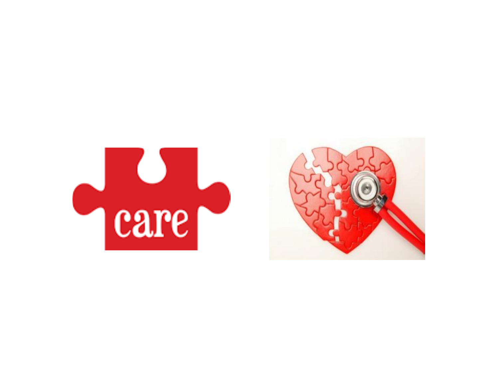

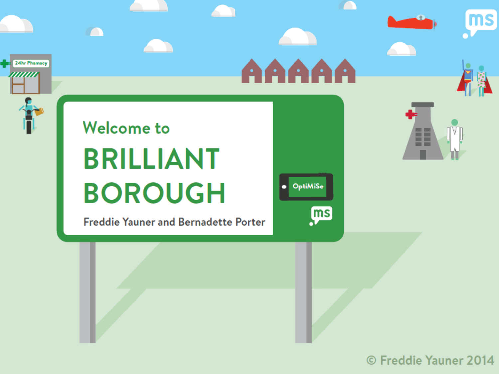

© Freddie Yauner 2014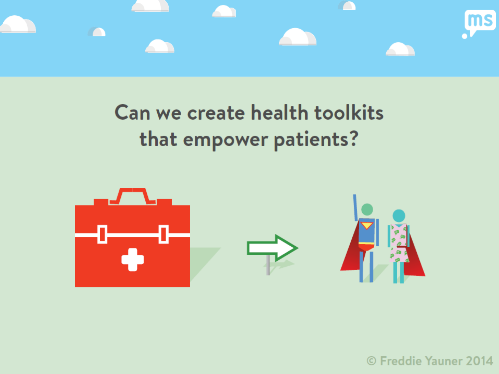

# **Can we create health toolkits** that empower patients?



© Freddie Yauner 2014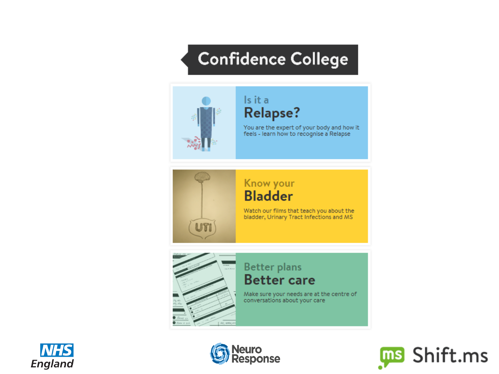### **Confidence College**



#### Is it a **Relapse?**

You are the expert of your body and how it feels - learn how to recognise a Relapse



#### Know your **Bladder**

Watch our films that teach you about the bladder, Urinary Tract Infections and MS



#### **Better plans Better care**

Make sure your needs are at the centre of conversations about your care





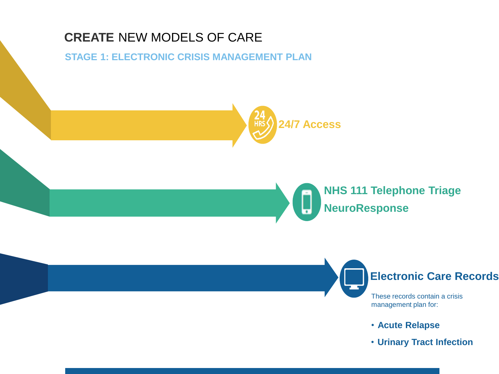#### **CREATE** NEW MODELS OF CARE

**STAGE 1: ELECTRONIC CRISIS MANAGEMENT PLAN**







**Electronic Care Records**

These records contain a crisis management plan for:

- **Acute Relapse**
- **Urinary Tract Infection**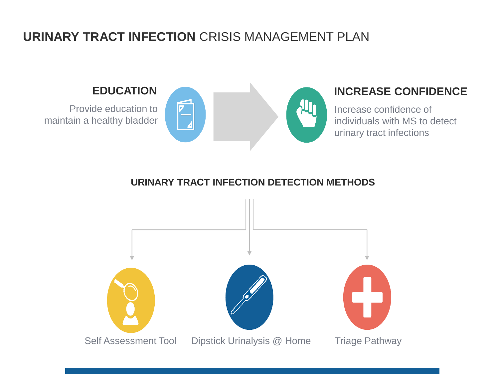#### **URINARY TRACT INFECTION** CRISIS MANAGEMENT PLAN

**EDUCATION**

Provide education to maintain a healthy bladder



#### **INCREASE CONFIDENCE**

Increase confidence of individuals with MS to detect urinary tract infections

#### **URINARY TRACT INFECTION DETECTION METHODS**

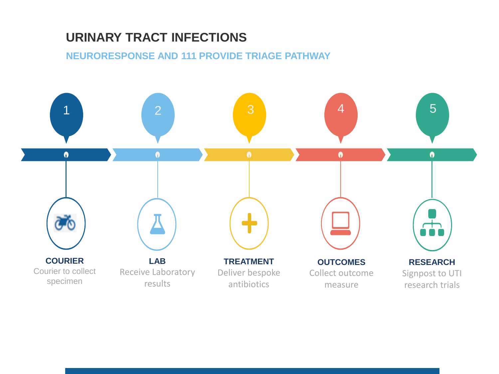#### **URINARY TRACT INFECTIONS**

#### **NEURORESPONSE AND 111 PROVIDE TRIAGE PATHWAY**